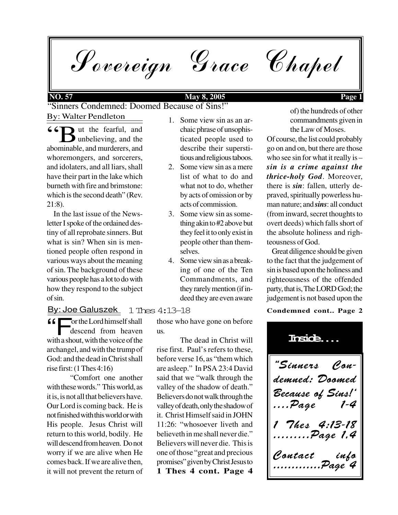Sovereign Grace Chapel

### **NO. 57 May 8, 2005 Page 1**

By: Walter Pendleton "Sinners Condemned: Doomed Because of Sins!"

**66** I ut the fearful, and the abominable, and murderers, and ut the fearful, and unbelieving, and the whoremongers, and sorcerers, and idolaters, and all liars, shall have their part in the lake which burneth with fire and brimstone: which is the second death" (Rev. 21:8).

 In the last issue of the Newsletter I spoke of the ordained destiny of all reprobate sinners. But what is sin? When sin is mentioned people often respond in various ways about the meaning of sin. The background of these various people has a lot to do with how they respond to the subject of sin.

#### 1 Thes 4:13-18 By: Joe Galuszek

The Lord himself shall<br>descend from heaven<br>with a shout, with the voice of the or the Lord himself shall descend from heaven archangel, and with the trump of God: and the dead in Christ shall rise first: (1 Thes 4:16)

"Comfort one another with these words." This world, as it is, is not all that believers have. Our Lord is coming back. He is not finished with this world or with His people. Jesus Christ will return to this world, bodily. He will descend from heaven. Do not worry if we are alive when He comes back. If we are alive then, it will not prevent the return of

- 1. Some view sin as an archaic phrase of unsophisticated people used to describe their superstitious and religious taboos.
- 2. Some view sin as a mere list of what to do and what not to do, whether by acts of omission or by acts of commission.
- 3. Some view sin as something akin to #2 above but they feel it to only exist in people other than themselves.
- 4. Some view sin as a breaking of one of the Ten Commandments, and they rarely mention (if indeed they are even aware

those who have gone on before

rise first. Paul's refers to these, before verse 16, as "them which are asleep." In PSA 23:4 David said that we "walk through the valley of the shadow of death." Believers do not walk through the valley of death, only the shadow of it. Christ Himself said in JOHN 11:26: "whosoever liveth and believeth in me shall never die." Believers will never die. This is one of those "great and precious promises" given by Christ Jesus to

The dead in Christ will

us.

**1 Thes 4 cont. Page 4**

**Condemned cont.. Page 2**

"Sinners Condemned: Doomed Because of Sins!' ....Page 7*hes* 4:13-18 .........Page 1,4 Contact info .............Page 4 **Inside....**

of) the hundreds of other

commandments given in the Law of Moses. Of course, the list could probably go on and on, but there are those

who see sin for what it really is – *sin is a crime against the thrice-holy God*. Moreover, there is *sin*: fallen, utterly depraved, spiritually powerless human nature; and *sins*: all conduct (from inward, secret thoughts to overt deeds) which falls short of the absolute holiness and righteousness of God.

 Great diligence should be given to the fact that the judgement of sin is based upon the holiness and righteousness of the offended party, that is, The LORD God; the judgement is not based upon the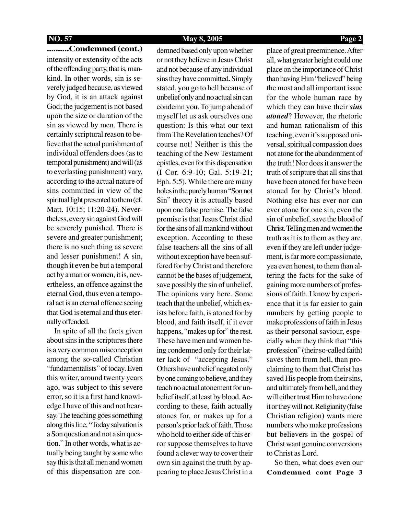### **..........Condemned (cont.)** intensity or extensity of the acts of the offending party, that is, mankind. In other words, sin is severely judged because, as viewed by God, it is an attack against God; the judgement is not based upon the size or duration of the sin as viewed by men. There is certainly scriptural reason to believe that the actual punishment of individual offenders does (as to temporal punishment) and will (as to everlasting punishment) vary, according to the actual nature of sins committed in view of the spiritual light presented to them (cf. Matt. 10:15; 11:20-24). Nevertheless, every sin against God will be severely punished. There is severe and greater punishment; there is no such thing as severe and lesser punishment! A sin, though it even be but a temporal act by a man or women, it is, nevertheless, an offence against the eternal God, thus even a temporal act is an eternal offence seeing that God is eternal and thus eternally offended.

 In spite of all the facts given about sins in the scriptures there is a very common misconception among the so-called Christian "fundamentalists" of today. Even this writer, around twenty years ago, was subject to this severe error, so it is a first hand knowledge I have of this and not hearsay. The teaching goes something along this line, "Today salvation is a Son question and not a sin question." In other words, what is actually being taught by some who say this is that all men and women of this dispensation are con-

#### **NO. 57 May 8, 2005 Page 2**

demned based only upon whether or not they believe in Jesus Christ and not because of any individual sins they have committed. Simply stated, you go to hell because of unbelief only and no actual sin can condemn you. To jump ahead of myself let us ask ourselves one question: Is this what our text from The Revelation teaches? Of course not! Neither is this the teaching of the New Testament epistles, even for this dispensation (I Cor. 6:9-10; Gal. 5:19-21; Eph. 5:5). While there are many holes in the purely human "Son not Sin" theory it is actually based upon one false premise. The false premise is that Jesus Christ died for the sins of all mankind without exception. According to these false teachers all the sins of all without exception have been suffered for by Christ and therefore cannot be the bases of judgement, save possibly the sin of unbelief. The opinions vary here. Some teach that the unbelief, which exists before faith, is atoned for by blood, and faith itself, if it ever happens, "makes up for" the rest. These have men and women being condemned only for their latter lack of "accepting Jesus." Others have unbelief negated only by one coming to believe, and they teach no actual atonement for unbelief itself, at least by blood. According to these, faith actually atones for, or makes up for a person's prior lack of faith. Those who hold to either side of this error suppose themselves to have found a clever way to cover their own sin against the truth by appearing to place Jesus Christ in a place of great preeminence. After all, what greater height could one place on the importance of Christ than having Him "believed" being the most and all important issue for the whole human race by which they can have their *sins atoned*? However, the rhetoric and human rationalism of this teaching, even it's supposed universal, spiritual compassion does not atone for the abandonment of the truth! Nor does it answer the truth of scripture that all sins that have been atoned for have been atoned for by Christ's blood. Nothing else has ever nor can ever atone for one sin, even the sin of unbelief, save the blood of Christ. Telling men and women the truth as it is to them as they are, even if they are left under judgement, is far more compassionate, yea even honest, to them than altering the facts for the sake of gaining more numbers of professions of faith. I know by experience that it is far easier to gain numbers by getting people to make professions of faith in Jesus as their personal saviour, especially when they think that "this profession" (their so-called faith) saves them from hell, than proclaiming to them that Christ has saved His people from their sins, and ultimately from hell, and they will either trust Him to have done it or they will not. Religianity (false Christian religion) wants mere numbers who make professions but believers in the gospel of Christ want genuine conversions to Christ as Lord.

**Condemned cont Page 3** So then, what does even our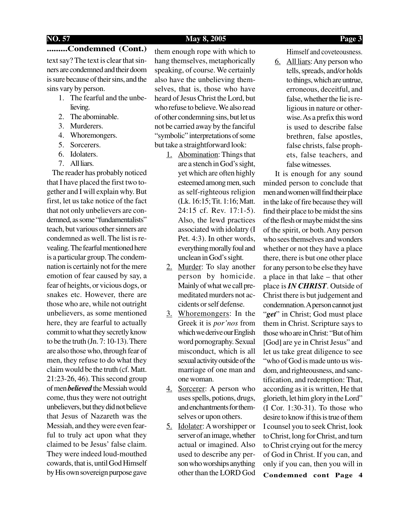#### **NO. 57 May 8, 2005 Page 3**

#### **.........Condemned (Cont.)**

text say? The text is clear that sinners are condemned and their doom is sure because of their sins, and the sins vary by person.

- 1. The fearful and the unbelieving.
- 2. The abominable.
- 3. Murderers.
- 4. Whoremongers.
- 5. Sorcerers.
- 6. Idolaters.
- 7. All liars.

 The reader has probably noticed that I have placed the first two together and I will explain why. But first, let us take notice of the fact that not only unbelievers are condemned, as some "fundamentalists" teach, but various other sinners are condemned as well. The list is revealing. The fearful mentioned here is a particular group. The condemnation is certainly not for the mere emotion of fear caused by say, a fear of heights, or vicious dogs, or snakes etc. However, there are those who are, while not outright unbelievers, as some mentioned here, they are fearful to actually commit to what they secretly know to be the truth (Jn. 7: 10-13). There are also those who, through fear of men, they refuse to do what they claim would be the truth (cf. Matt. 21:23-26, 46). This second group of men *believed* the Messiah would come, thus they were not outright unbelievers, but they did not believe that Jesus of Nazareth was the Messiah, and they were even fearful to truly act upon what they claimed to be Jesus' false claim. They were indeed loud-mouthed cowards, that is, until God Himself by His own sovereign purpose gave

them enough rope with which to hang themselves, metaphorically speaking, of course. We certainly also have the unbelieving themselves, that is, those who have heard of Jesus Christ the Lord, but who refuse to believe. We also read of other condemning sins, but let us not be carried away by the fanciful "symbolic" interpretations of some but take a straightforward look:

- 1. Abomination: Things that are a stench in God's sight, yet which are often highly esteemed among men, such as self-righteous religion (Lk. 16:15; Tit. 1:16; Matt. 24:15 cf. Rev. 17:1-5). Also, the lewd practices associated with idolatry (I Pet. 4:3). In other words, everything morally foul and unclean in God's sight.
- 2. Murder: To slay another person by homicide. Mainly of what we call premeditated murders not accidents or self defense.
- 3. Whoremongers: In the Greek it is *por'nos* from which we derive our English word pornography. Sexual misconduct, which is all sexual activity outside of the marriage of one man and one woman.
- 4. Sorcerer: A person who uses spells, potions, drugs, and enchantments for themselves or upon others.
- 5. Idolater: A worshipper or server of an image, whether actual or imagined. Also used to describe any person who worships anything other than the LORD God

Himself and coveteousness.

6. All liars: Any person who tells, spreads, and/or holds to things, which are untrue, erroneous, deceitful, and false, whether the lie is religious in nature or otherwise. As a prefix this word is used to describe false brethren, false apostles, false christs, false prophets, false teachers, and false witnesses.

 It is enough for any sound minded person to conclude that men and women will find their place in the lake of fire because they will find their place to be midst the sins of the flesh or maybe midst the sins of the spirit, or both. Any person who sees themselves and wonders whether or not they have a place there, there is but one other place for any person to be else they have a place in that lake – that other place is *IN CHRIST*. Outside of Christ there is but judgement and condemnation. A person cannot just "get" in Christ; God must place them in Christ. Scripture says to those who are in Christ: "But of him [God] are ye in Christ Jesus" and let us take great diligence to see "who of God is made unto us wisdom, and righteousness, and sanctification, and redemption: That, according as it is written, He that glorieth, let him glory in the Lord" (I Cor. 1:30-31). To those who desire to know if this is true of them I counsel you to seek Christ, look to Christ, long for Christ, and turn to Christ crying out for the mercy of God in Christ. If you can, and only if you can, then you will in **Condemned cont Page 4**